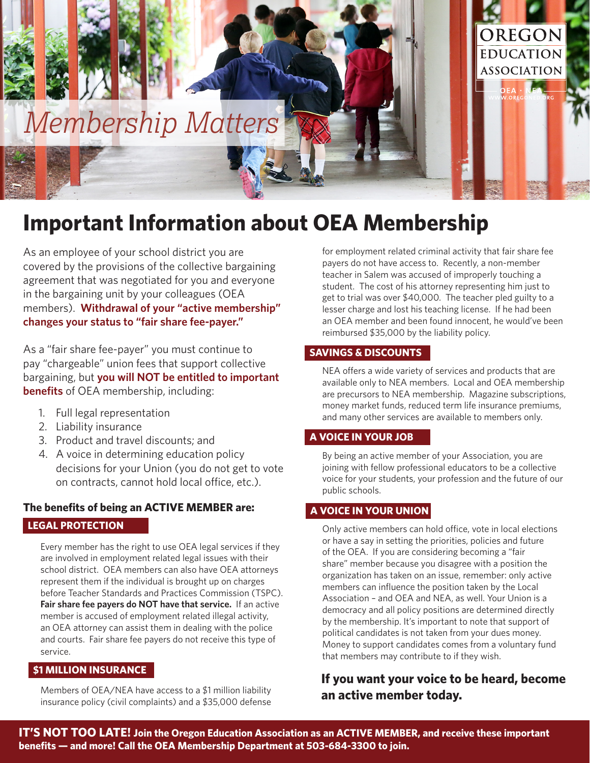

# **Important Information about OEA Membership**

As an employee of your school district you are covered by the provisions of the collective bargaining agreement that was negotiated for you and everyone in the bargaining unit by your colleagues (OEA members). **Withdrawal of your "active membership" changes your status to "fair share fee-payer."** 

As a "fair share fee-payer" you must continue to pay "chargeable" union fees that support collective bargaining, but **you will NOT be entitled to important benefits** of OEA membership, including:

- 1. Full legal representation
- 2. Liability insurance
- 3. Product and travel discounts; and
- 4. A voice in determining education policy decisions for your Union (you do not get to vote on contracts, cannot hold local office, etc.).

## **The benefits of being an ACTIVE MEMBER are: LEGAL PROTECTION**

Every member has the right to use OEA legal services if they are involved in employment related legal issues with their school district. OEA members can also have OEA attorneys represent them if the individual is brought up on charges before Teacher Standards and Practices Commission (TSPC). **Fair share fee payers do NOT have that service.** If an active member is accused of employment related illegal activity, an OEA attorney can assist them in dealing with the police and courts. Fair share fee payers do not receive this type of service.

#### **\$1 MILLION INSURANCE**

Members of OEA/NEA have access to a \$1 million liability insurance policy (civil complaints) and a \$35,000 defense

for employment related criminal activity that fair share fee payers do not have access to. Recently, a non-member teacher in Salem was accused of improperly touching a student. The cost of his attorney representing him just to get to trial was over \$40,000. The teacher pled guilty to a lesser charge and lost his teaching license. If he had been an OEA member and been found innocent, he would've been reimbursed \$35,000 by the liability policy.

#### **SAVINGS & DISCOUNTS**

NEA offers a wide variety of services and products that are available only to NEA members. Local and OEA membership are precursors to NEA membership. Magazine subscriptions, money market funds, reduced term life insurance premiums, and many other services are available to members only.

#### **A VOICE IN YOUR JOB**

By being an active member of your Association, you are joining with fellow professional educators to be a collective voice for your students, your profession and the future of our public schools.

#### **A VOICE IN YOUR UNION**

Only active members can hold office, vote in local elections or have a say in setting the priorities, policies and future of the OEA. If you are considering becoming a "fair share" member because you disagree with a position the organization has taken on an issue, remember: only active members can influence the position taken by the Local Association – and OEA and NEA, as well. Your Union is a democracy and all policy positions are determined directly by the membership. It's important to note that support of political candidates is not taken from your dues money. Money to support candidates comes from a voluntary fund that members may contribute to if they wish.

## **If you want your voice to be heard, become an active member today.**

**IT'S NOT TOO LATE! Join the Oregon Education Association as an ACTIVE MEMBER, and receive these important benefits — and more! Call the OEA Membership Department at 503-684-3300 to join.**